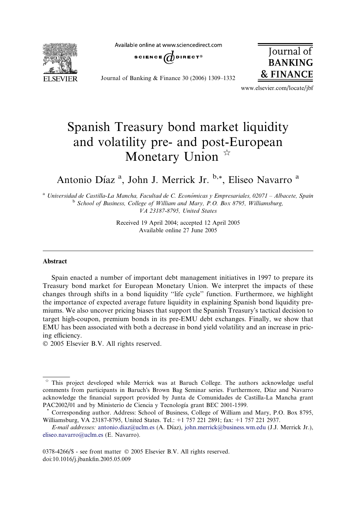Available online at www.sciencedirect.com



SCIENCE  $\bigoplus$  DIRECT<sup>®</sup>

Journal of Banking & Finance 30 (2006) 1309–1332



www.elsevier.com/locate/jbf

# Spanish Treasury bond market liquidity and volatility pre- and post-European Monetary Union  $\mathbb{R}$

Antonio Díaz<sup>a</sup>, John J. Merrick Jr. **b,\***, Eliseo Navarro<sup>a</sup>

<sup>a</sup> Universidad de Castilla-La Mancha, Facultad de C. Económicas y Empresariales, 02071 – Albacete, Spain <sup>b</sup> School of Business, College of William and Mary, P.O. Box 8795, Williamsburg, VA 23187-8795, United States

> Received 19 April 2004; accepted 12 April 2005 Available online 27 June 2005

#### Abstract

Spain enacted a number of important debt management initiatives in 1997 to prepare its Treasury bond market for European Monetary Union. We interpret the impacts of these changes through shifts in a bond liquidity ''life cycle'' function. Furthermore, we highlight the importance of expected average future liquidity in explaining Spanish bond liquidity premiums. We also uncover pricing biases that support the Spanish Treasury's tactical decision to target high-coupon, premium bonds in its pre-EMU debt exchanges. Finally, we show that EMU has been associated with both a decrease in bond yield volatility and an increase in pricing efficiency.

© 2005 Elsevier B.V. All rights reserved.

 $*$  This project developed while Merrick was at Baruch College. The authors acknowledge useful comments from participants in Baruch's Brown Bag Seminar series. Furthermore, Díaz and Navarro acknowledge the financial support provided by Junta de Comunidades de Castilla-La Mancha grant PAC2002/01 and by Ministerio de Ciencia y Tecnología grant BEC 2001-1599.<br>\* Corresponding author. Address: School of Business, College of William and Mary, P.O. Box 8795,

Williamsburg, VA 23187-8795, United States. Tel.: +1 757 221 2891; fax: +1 757 221 2937.

E-mail addresses: [antonio.diaz@uclm.es](mailto:antonio.diaz@uclm.es) (A. Dı´az), [john.merrick@business.wm.edu](mailto:john.merrick@business.wm.edu) (J.J. Merrick Jr.), [eliseo.navarro@uclm.es](mailto:eliseo.navarro@uclm.es) (E. Navarro).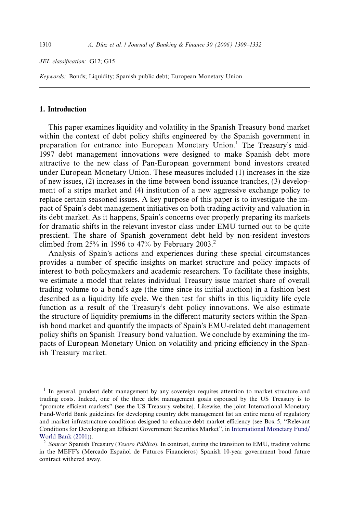### JEL classification: G12; G15

Keywords: Bonds; Liquidity; Spanish public debt; European Monetary Union

### 1. Introduction

This paper examines liquidity and volatility in the Spanish Treasury bond market within the context of debt policy shifts engineered by the Spanish government in preparation for entrance into European Monetary Union.<sup>1</sup> The Treasury's mid-1997 debt management innovations were designed to make Spanish debt more attractive to the new class of Pan-European government bond investors created under European Monetary Union. These measures included (1) increases in the size of new issues, (2) increases in the time between bond issuance tranches, (3) development of a strips market and (4) institution of a new aggressive exchange policy to replace certain seasoned issues. A key purpose of this paper is to investigate the impact of Spain's debt management initiatives on both trading activity and valuation in its debt market. As it happens, Spain's concerns over properly preparing its markets for dramatic shifts in the relevant investor class under EMU turned out to be quite prescient. The share of Spanish government debt held by non-resident investors climbed from  $25\%$  in 1996 to 47% by February 2003.<sup>2</sup>

Analysis of Spain's actions and experiences during these special circumstances provides a number of specific insights on market structure and policy impacts of interest to both policymakers and academic researchers. To facilitate these insights, we estimate a model that relates individual Treasury issue market share of overall trading volume to a bond's age (the time since its initial auction) in a fashion best described as a liquidity life cycle. We then test for shifts in this liquidity life cycle function as a result of the Treasury's debt policy innovations. We also estimate the structure of liquidity premiums in the different maturity sectors within the Spanish bond market and quantify the impacts of Spain's EMU-related debt management policy shifts on Spanish Treasury bond valuation. We conclude by examining the impacts of European Monetary Union on volatility and pricing efficiency in the Spanish Treasury market.

<sup>&</sup>lt;sup>1</sup> In general, prudent debt management by any sovereign requires attention to market structure and trading costs. Indeed, one of the three debt management goals espoused by the US Treasury is to ''promote efficient markets'' (see the US Treasury website). Likewise, the joint International Monetary Fund-World Bank guidelines for developing country debt management list an entire menu of regulatory and market infrastructure conditions designed to enhance debt market efficiency (see Box 5, ''Relevant Conditions for Developing an Efficient Government Securities Market'', in [International Monetary Fund/](#page--1-0) [World Bank \(2001\)\)](#page--1-0).<br><sup>2</sup> Source: Spanish Treasury (*Tesoro Público*). In contrast, during the transition to EMU, trading volume

in the MEFF's (Mercado Español de Futuros Financieros) Spanish 10-year government bond future contract withered away.